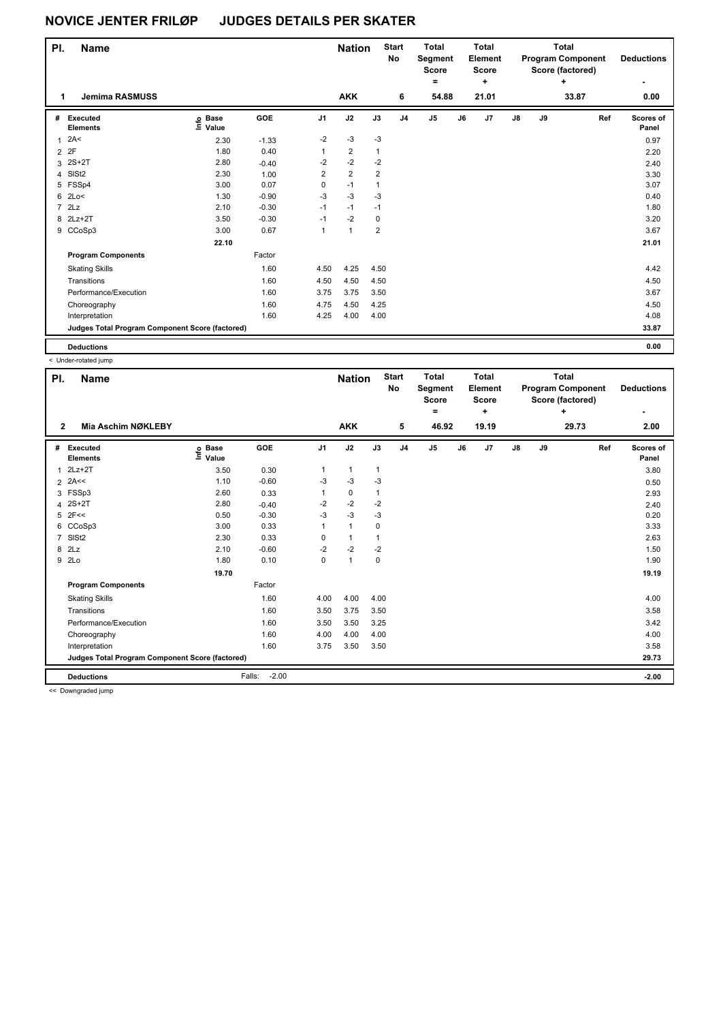| PI.            | <b>Name</b>                                     |                            |         |                | <b>Nation</b>  |                | <b>Start</b><br>No | <b>Total</b><br>Segment<br><b>Score</b><br>۰ |    | Total<br>Element<br><b>Score</b><br>$\ddot{}$ |               |    | <b>Total</b><br><b>Program Component</b><br>Score (factored) | <b>Deductions</b><br>٠ |
|----------------|-------------------------------------------------|----------------------------|---------|----------------|----------------|----------------|--------------------|----------------------------------------------|----|-----------------------------------------------|---------------|----|--------------------------------------------------------------|------------------------|
| 1              | <b>Jemima RASMUSS</b>                           |                            |         |                | <b>AKK</b>     |                | 6                  | 54.88                                        |    | 21.01                                         |               |    | 33.87                                                        | 0.00                   |
| #              | Executed<br><b>Elements</b>                     | e Base<br>⊆ Value<br>Value | GOE     | J <sub>1</sub> | J2             | J3             | J <sub>4</sub>     | J5                                           | J6 | J7                                            | $\mathsf{J}8$ | J9 | Ref                                                          | Scores of<br>Panel     |
| $\mathbf{1}$   | 2A<                                             | 2.30                       | $-1.33$ | $-2$           | $-3$           | $-3$           |                    |                                              |    |                                               |               |    |                                                              | 0.97                   |
| $\overline{2}$ | 2F                                              | 1.80                       | 0.40    | $\mathbf{1}$   | $\overline{2}$ | $\mathbf{1}$   |                    |                                              |    |                                               |               |    |                                                              | 2.20                   |
| 3              | $2S+2T$                                         | 2.80                       | $-0.40$ | $-2$           | $-2$           | $-2$           |                    |                                              |    |                                               |               |    |                                                              | 2.40                   |
| 4              | SISt <sub>2</sub>                               | 2.30                       | 1.00    | $\overline{2}$ | $\overline{2}$ | $\overline{2}$ |                    |                                              |    |                                               |               |    |                                                              | 3.30                   |
| 5              | FSSp4                                           | 3.00                       | 0.07    | 0              | $-1$           | 1              |                    |                                              |    |                                               |               |    |                                                              | 3.07                   |
| 6              | 2Lo<                                            | 1.30                       | $-0.90$ | $-3$           | $-3$           | $-3$           |                    |                                              |    |                                               |               |    |                                                              | 0.40                   |
| $\overline{7}$ | 2Lz                                             | 2.10                       | $-0.30$ | $-1$           | $-1$           | $-1$           |                    |                                              |    |                                               |               |    |                                                              | 1.80                   |
| 8              | $2Lz+2T$                                        | 3.50                       | $-0.30$ | $-1$           | $-2$           | 0              |                    |                                              |    |                                               |               |    |                                                              | 3.20                   |
|                | 9 CCoSp3                                        | 3.00                       | 0.67    | $\mathbf{1}$   | $\mathbf{1}$   | $\overline{2}$ |                    |                                              |    |                                               |               |    |                                                              | 3.67                   |
|                |                                                 | 22.10                      |         |                |                |                |                    |                                              |    |                                               |               |    |                                                              | 21.01                  |
|                | <b>Program Components</b>                       |                            | Factor  |                |                |                |                    |                                              |    |                                               |               |    |                                                              |                        |
|                | <b>Skating Skills</b>                           |                            | 1.60    | 4.50           | 4.25           | 4.50           |                    |                                              |    |                                               |               |    |                                                              | 4.42                   |
|                | Transitions                                     |                            | 1.60    | 4.50           | 4.50           | 4.50           |                    |                                              |    |                                               |               |    |                                                              | 4.50                   |
|                | Performance/Execution                           |                            | 1.60    | 3.75           | 3.75           | 3.50           |                    |                                              |    |                                               |               |    |                                                              | 3.67                   |
|                | Choreography                                    |                            | 1.60    | 4.75           | 4.50           | 4.25           |                    |                                              |    |                                               |               |    |                                                              | 4.50                   |
|                | Interpretation                                  |                            | 1.60    | 4.25           | 4.00           | 4.00           |                    |                                              |    |                                               |               |    |                                                              | 4.08                   |
|                | Judges Total Program Component Score (factored) |                            |         |                |                |                |                    |                                              |    |                                               |               |    |                                                              | 33.87                  |
|                | <b>Deductions</b>                               |                            |         |                |                |                |                    |                                              |    |                                               |               |    |                                                              | 0.00                   |

< Under-rotated jump

| PI.            | Name                                            |                           |                   |                | <b>Nation</b> |              | <b>Start</b><br>No | <b>Total</b><br>Segment<br><b>Score</b><br>= |    | <b>Total</b><br><b>Element</b><br><b>Score</b><br>÷ |               |    | <b>Total</b><br><b>Program Component</b><br>Score (factored)<br>٠ | <b>Deductions</b>  |
|----------------|-------------------------------------------------|---------------------------|-------------------|----------------|---------------|--------------|--------------------|----------------------------------------------|----|-----------------------------------------------------|---------------|----|-------------------------------------------------------------------|--------------------|
| $\overline{2}$ | Mia Aschim NØKLEBY                              |                           |                   |                | <b>AKK</b>    |              | 5                  | 46.92                                        |    | 19.19                                               |               |    | 29.73                                                             | 2.00               |
| #              | Executed<br><b>Elements</b>                     | <b>Base</b><br>e<br>Value | GOE               | J <sub>1</sub> | J2            | J3           | J <sub>4</sub>     | J <sub>5</sub>                               | J6 | J7                                                  | $\mathsf{J}8$ | J9 | Ref                                                               | Scores of<br>Panel |
| $\overline{1}$ | $2Lz+2T$                                        | 3.50                      | 0.30              | 1              | $\mathbf{1}$  | $\mathbf{1}$ |                    |                                              |    |                                                     |               |    |                                                                   | 3.80               |
|                | $2$ 2A<<                                        | 1.10                      | $-0.60$           | -3             | -3            | -3           |                    |                                              |    |                                                     |               |    |                                                                   | 0.50               |
| 3              | FSSp3                                           | 2.60                      | 0.33              | 1              | 0             | 1            |                    |                                              |    |                                                     |               |    |                                                                   | 2.93               |
| 4              | $2S+2T$                                         | 2.80                      | $-0.40$           | $-2$           | $-2$          | $-2$         |                    |                                              |    |                                                     |               |    |                                                                   | 2.40               |
| 5              | 2F<<                                            | 0.50                      | $-0.30$           | $-3$           | $-3$          | $-3$         |                    |                                              |    |                                                     |               |    |                                                                   | 0.20               |
| 6              | CCoSp3                                          | 3.00                      | 0.33              | 1              | $\mathbf{1}$  | 0            |                    |                                              |    |                                                     |               |    |                                                                   | 3.33               |
| $\overline{7}$ | SISt <sub>2</sub>                               | 2.30                      | 0.33              | 0              | $\mathbf{1}$  | 1            |                    |                                              |    |                                                     |               |    |                                                                   | 2.63               |
| 8              | 2Lz                                             | 2.10                      | $-0.60$           | $-2$           | $-2$          | $-2$         |                    |                                              |    |                                                     |               |    |                                                                   | 1.50               |
| 9              | 2Lo                                             | 1.80                      | 0.10              | 0              | $\mathbf{1}$  | 0            |                    |                                              |    |                                                     |               |    |                                                                   | 1.90               |
|                |                                                 | 19.70                     |                   |                |               |              |                    |                                              |    |                                                     |               |    |                                                                   | 19.19              |
|                | <b>Program Components</b>                       |                           | Factor            |                |               |              |                    |                                              |    |                                                     |               |    |                                                                   |                    |
|                | <b>Skating Skills</b>                           |                           | 1.60              | 4.00           | 4.00          | 4.00         |                    |                                              |    |                                                     |               |    |                                                                   | 4.00               |
|                | Transitions                                     |                           | 1.60              | 3.50           | 3.75          | 3.50         |                    |                                              |    |                                                     |               |    |                                                                   | 3.58               |
|                | Performance/Execution                           |                           | 1.60              | 3.50           | 3.50          | 3.25         |                    |                                              |    |                                                     |               |    |                                                                   | 3.42               |
|                | Choreography                                    |                           | 1.60              | 4.00           | 4.00          | 4.00         |                    |                                              |    |                                                     |               |    |                                                                   | 4.00               |
|                | Interpretation                                  |                           | 1.60              | 3.75           | 3.50          | 3.50         |                    |                                              |    |                                                     |               |    |                                                                   | 3.58               |
|                | Judges Total Program Component Score (factored) |                           |                   |                |               |              |                    |                                              |    |                                                     |               |    |                                                                   | 29.73              |
|                | <b>Deductions</b>                               |                           | Falls:<br>$-2.00$ |                |               |              |                    |                                              |    |                                                     |               |    |                                                                   | $-2.00$            |
|                | <b>SA Doumaradod innova</b>                     |                           |                   |                |               |              |                    |                                              |    |                                                     |               |    |                                                                   |                    |

<< Downgraded jump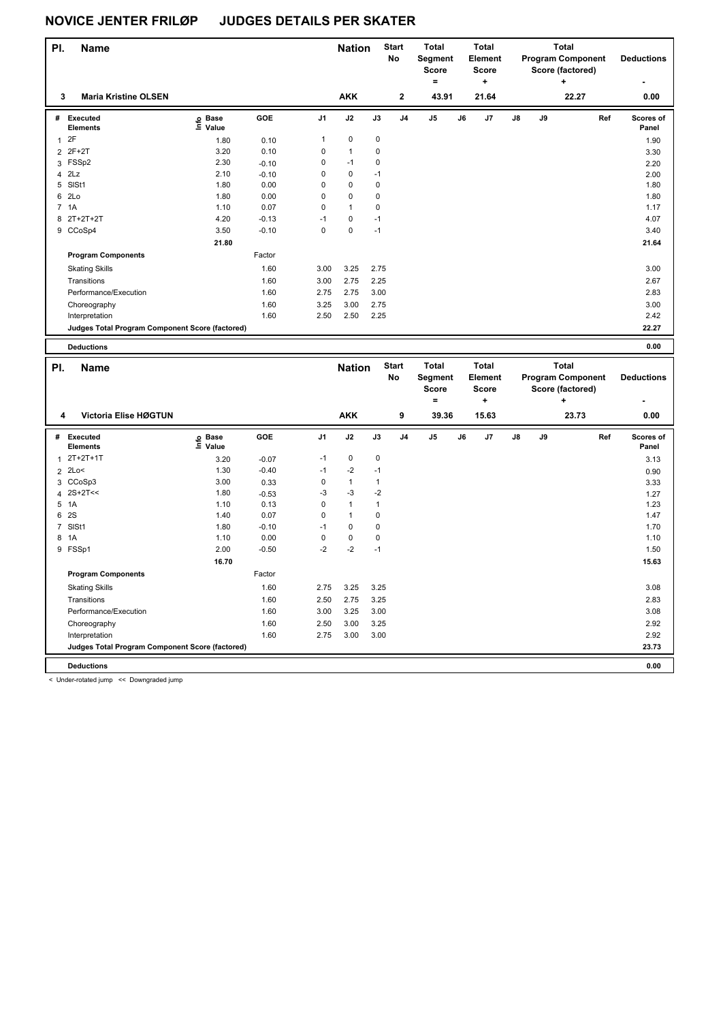| PI.            | Name                                            |                           |                 |              | <b>Nation</b>        |              | <b>Start</b><br>No | <b>Total</b><br>Segment<br><b>Score</b><br>$\equiv$ |    | <b>Total</b><br>Element<br><b>Score</b><br>÷ |    |    | <b>Total</b><br><b>Program Component</b><br>Score (factored)<br>٠ |     | <b>Deductions</b>  |
|----------------|-------------------------------------------------|---------------------------|-----------------|--------------|----------------------|--------------|--------------------|-----------------------------------------------------|----|----------------------------------------------|----|----|-------------------------------------------------------------------|-----|--------------------|
| 3              | <b>Maria Kristine OLSEN</b>                     |                           |                 |              | <b>AKK</b>           |              | 2                  | 43.91                                               |    | 21.64                                        |    |    | 22.27                                                             |     | 0.00               |
|                |                                                 |                           |                 |              |                      |              |                    |                                                     |    |                                              |    |    |                                                                   |     |                    |
| #              | <b>Executed</b><br><b>Elements</b>              | o Base<br>$\bar{E}$ Value | <b>GOE</b>      | J1           | J2                   | J3           | J4                 | J5                                                  | J6 | J7                                           | J8 | J9 |                                                                   | Ref | Scores of<br>Panel |
| $\mathbf{1}$   | 2F                                              | 1.80                      | 0.10            | $\mathbf{1}$ | $\mathbf 0$          | $\mathbf 0$  |                    |                                                     |    |                                              |    |    |                                                                   |     | 1.90               |
| $\overline{2}$ | 2F+2T                                           | 3.20                      | 0.10            | 0            | $\mathbf{1}$         | $\mathbf 0$  |                    |                                                     |    |                                              |    |    |                                                                   |     | 3.30               |
|                | 3 FSSp2                                         | 2.30                      | $-0.10$         | $\mathbf 0$  | $-1$                 | $\pmb{0}$    |                    |                                                     |    |                                              |    |    |                                                                   |     | 2.20               |
| $\overline{4}$ | 2Lz                                             | 2.10                      | $-0.10$         | 0            | $\pmb{0}$            | $-1$         |                    |                                                     |    |                                              |    |    |                                                                   |     | 2.00               |
|                | 5 SISt1                                         | 1.80                      | 0.00            | $\mathbf 0$  | $\pmb{0}$            | $\pmb{0}$    |                    |                                                     |    |                                              |    |    |                                                                   |     | 1.80               |
|                | 6 2Lo                                           | 1.80                      | 0.00            | 0            | $\pmb{0}$            | $\pmb{0}$    |                    |                                                     |    |                                              |    |    |                                                                   |     | 1.80               |
|                | 7 1A                                            | 1.10                      | 0.07            | $\mathbf 0$  | $\mathbf{1}$         | $\mathbf 0$  |                    |                                                     |    |                                              |    |    |                                                                   |     | 1.17               |
|                | 8 2T+2T+2T                                      | 4.20                      | $-0.13$         | $-1$         | $\mathbf 0$          | $-1$         |                    |                                                     |    |                                              |    |    |                                                                   |     | 4.07               |
|                | 9 CCoSp4                                        | 3.50                      | $-0.10$         | $\mathbf 0$  | $\pmb{0}$            | $-1$         |                    |                                                     |    |                                              |    |    |                                                                   |     | 3.40               |
|                |                                                 | 21.80                     |                 |              |                      |              |                    |                                                     |    |                                              |    |    |                                                                   |     | 21.64              |
|                | <b>Program Components</b>                       |                           | Factor          |              |                      |              |                    |                                                     |    |                                              |    |    |                                                                   |     |                    |
|                | <b>Skating Skills</b>                           |                           | 1.60            | 3.00         | 3.25                 | 2.75         |                    |                                                     |    |                                              |    |    |                                                                   |     | 3.00               |
|                | Transitions                                     |                           | 1.60            | 3.00         | 2.75                 | 2.25         |                    |                                                     |    |                                              |    |    |                                                                   |     | 2.67               |
|                | Performance/Execution                           |                           | 1.60            | 2.75         | 2.75                 | 3.00         |                    |                                                     |    |                                              |    |    |                                                                   |     | 2.83               |
|                | Choreography                                    |                           | 1.60            | 3.25         | 3.00                 | 2.75         |                    |                                                     |    |                                              |    |    |                                                                   |     | 3.00               |
|                | Interpretation                                  |                           | 1.60            | 2.50         | 2.50                 | 2.25         |                    |                                                     |    |                                              |    |    |                                                                   |     | 2.42               |
|                | Judges Total Program Component Score (factored) |                           |                 |              |                      |              |                    |                                                     |    |                                              |    |    |                                                                   |     | 22.27              |
|                |                                                 |                           |                 |              |                      |              |                    |                                                     |    |                                              |    |    |                                                                   |     |                    |
|                | <b>Deductions</b>                               |                           |                 |              |                      |              |                    |                                                     |    |                                              |    |    |                                                                   |     | 0.00               |
|                |                                                 |                           |                 |              |                      |              |                    |                                                     |    |                                              |    |    |                                                                   |     |                    |
| PI.            | Name                                            |                           |                 |              | <b>Nation</b>        |              | <b>Start</b>       | <b>Total</b>                                        |    | <b>Total</b>                                 |    |    | <b>Total</b>                                                      |     |                    |
|                |                                                 |                           |                 |              |                      |              | No                 | Segment                                             |    | <b>Element</b>                               |    |    | <b>Program Component</b>                                          |     | <b>Deductions</b>  |
|                |                                                 |                           |                 |              |                      |              |                    | Score<br>$=$                                        |    | <b>Score</b><br>÷                            |    |    | Score (factored)<br>۰.                                            |     |                    |
|                |                                                 |                           |                 |              |                      |              |                    |                                                     |    |                                              |    |    |                                                                   |     |                    |
| 4              | Victoria Elise HØGTUN                           |                           |                 |              | <b>AKK</b>           |              | 9                  | 39.36                                               |    | 15.63                                        |    |    | 23.73                                                             |     | 0.00               |
|                | # Executed<br><b>Elements</b>                   | <b>့</b> Base             | GOE             | J1           | J2                   | J3           | J <sub>4</sub>     | J <sub>5</sub>                                      | J6 | J7                                           | J8 | J9 |                                                                   | Ref | Scores of<br>Panel |
|                | 2T+2T+1T                                        | $\bar{E}$ Value           |                 | $-1$         | $\pmb{0}$            | $\pmb{0}$    |                    |                                                     |    |                                              |    |    |                                                                   |     |                    |
| $\mathbf{1}$   |                                                 | 3.20                      | $-0.07$         | $-1$         |                      | $-1$         |                    |                                                     |    |                                              |    |    |                                                                   |     | 3.13               |
|                | 2 2Lo<                                          | 1.30                      | $-0.40$         | $\mathbf 0$  | $-2$                 | $\mathbf{1}$ |                    |                                                     |    |                                              |    |    |                                                                   |     | 0.90               |
| $\overline{4}$ | 3 CCoSp3<br>$2S+2T<<$                           | 3.00<br>1.80              | 0.33            | -3           | $\mathbf{1}$<br>$-3$ | $-2$         |                    |                                                     |    |                                              |    |    |                                                                   |     | 3.33               |
| 5              | 1A                                              | 1.10                      | $-0.53$<br>0.13 | $\mathbf 0$  | $\mathbf{1}$         | $\mathbf{1}$ |                    |                                                     |    |                                              |    |    |                                                                   |     | 1.27<br>1.23       |
| 6              | 2S                                              | 1.40                      | 0.07            | $\mathbf 0$  | $\mathbf{1}$         | $\mathbf 0$  |                    |                                                     |    |                                              |    |    |                                                                   |     | 1.47               |
| $\overline{7}$ | SISt1                                           | 1.80                      | $-0.10$         | $-1$         | $\pmb{0}$            | $\pmb{0}$    |                    |                                                     |    |                                              |    |    |                                                                   |     | 1.70               |
|                | 8 1A                                            | 1.10                      | 0.00            | $\pmb{0}$    | $\pmb{0}$            | $\pmb{0}$    |                    |                                                     |    |                                              |    |    |                                                                   |     | 1.10               |
|                | 9 FSSp1                                         | 2.00                      | $-0.50$         | $-2$         | $-2$                 | $-1$         |                    |                                                     |    |                                              |    |    |                                                                   |     | 1.50               |
|                |                                                 | 16.70                     |                 |              |                      |              |                    |                                                     |    |                                              |    |    |                                                                   |     | 15.63              |
|                | <b>Program Components</b>                       |                           | Factor          |              |                      |              |                    |                                                     |    |                                              |    |    |                                                                   |     |                    |
|                | <b>Skating Skills</b>                           |                           | 1.60            | 2.75         | 3.25                 | 3.25         |                    |                                                     |    |                                              |    |    |                                                                   |     | 3.08               |
|                | Transitions                                     |                           | 1.60            | 2.50         | 2.75                 | 3.25         |                    |                                                     |    |                                              |    |    |                                                                   |     | 2.83               |
|                |                                                 |                           |                 | 3.00         | 3.25                 |              |                    |                                                     |    |                                              |    |    |                                                                   |     | 3.08               |
|                | Performance/Execution<br>Choreography           |                           | 1.60<br>1.60    | 2.50         | 3.00                 | 3.00<br>3.25 |                    |                                                     |    |                                              |    |    |                                                                   |     | 2.92               |

**Judges Total Program Component Score (factored) 23.73**

**Deductions 0.00**

< Under-rotated jump << Downgraded jump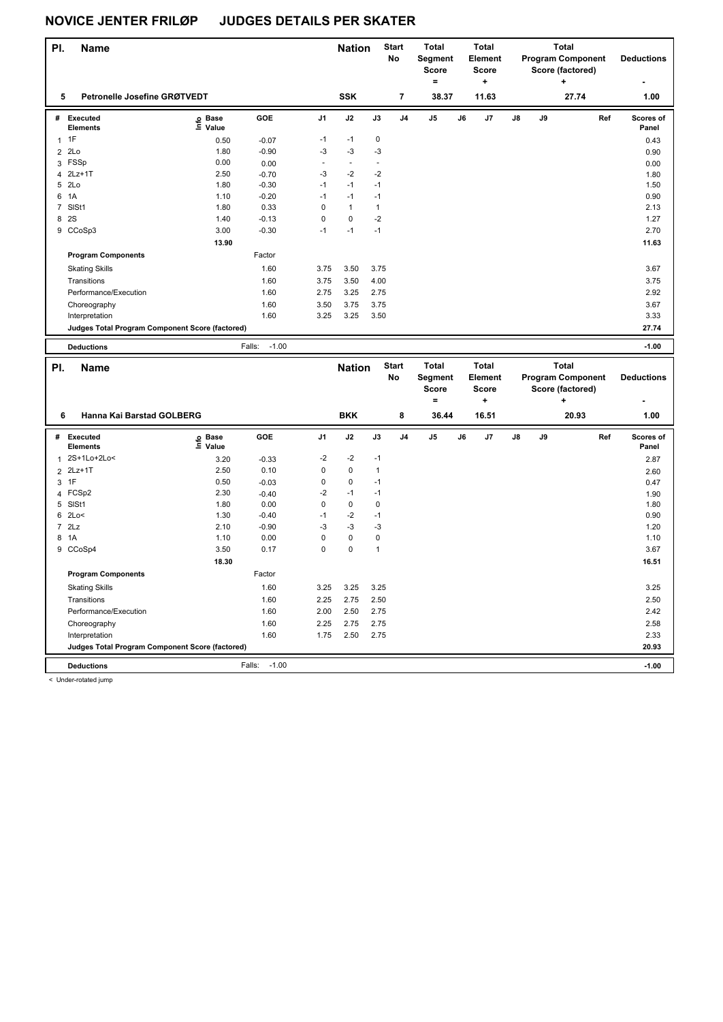| PI. | <b>Name</b>                                     |                         |                   |              | <b>Nation</b>  |                | <b>Start</b><br>No | Total<br>Segment<br><b>Score</b><br>$=$ |    | <b>Total</b><br>Element<br><b>Score</b><br>$\ddot{}$ |    |    | <b>Total</b><br><b>Program Component</b><br>Score (factored)<br>۰. |     | <b>Deductions</b>  |
|-----|-------------------------------------------------|-------------------------|-------------------|--------------|----------------|----------------|--------------------|-----------------------------------------|----|------------------------------------------------------|----|----|--------------------------------------------------------------------|-----|--------------------|
| 5   | Petronelle Josefine GRØTVEDT                    |                         |                   |              | <b>SSK</b>     |                | $\overline{7}$     | 38.37                                   |    | 11.63                                                |    |    | 27.74                                                              |     | 1.00               |
|     | # Executed<br><b>Elements</b>                   | ၉ Base<br>도 Value       | GOE               | J1           | J2             | J3             | J4                 | J5                                      | J6 | J7                                                   | J8 | J9 |                                                                    | Ref | Scores of<br>Panel |
|     | $1$ 1F                                          | 0.50                    | $-0.07$           | $-1$         | $-1$           | $\pmb{0}$      |                    |                                         |    |                                                      |    |    |                                                                    |     | 0.43               |
|     | $2$ $2Lo$                                       | 1.80                    | $-0.90$           | -3           | $-3$           | -3             |                    |                                         |    |                                                      |    |    |                                                                    |     | 0.90               |
|     | 3 FSSp                                          | 0.00                    | 0.00              | $\sim$       | $\blacksquare$ | $\blacksquare$ |                    |                                         |    |                                                      |    |    |                                                                    |     | 0.00               |
|     | 4 2Lz+1T                                        | 2.50                    | $-0.70$           | $-3$         | $-2$           | $-2$           |                    |                                         |    |                                                      |    |    |                                                                    |     | 1.80               |
|     | 5 2Lo                                           | 1.80                    | $-0.30$           | $-1$         | $-1$           | $-1$           |                    |                                         |    |                                                      |    |    |                                                                    |     | 1.50               |
| 6   | 1A                                              | 1.10                    | $-0.20$           | $-1$         | $-1$           | $-1$           |                    |                                         |    |                                                      |    |    |                                                                    |     | 0.90               |
|     | 7 SISt1                                         | 1.80                    | 0.33              | 0            | $\mathbf{1}$   | $\mathbf{1}$   |                    |                                         |    |                                                      |    |    |                                                                    |     | 2.13               |
| 8   | 2S                                              | 1.40                    | $-0.13$           | $\mathbf 0$  | 0              | $-2$           |                    |                                         |    |                                                      |    |    |                                                                    |     | 1.27               |
|     | 9 CCoSp3                                        | 3.00                    | $-0.30$           | $-1$         | $-1$           | $-1$           |                    |                                         |    |                                                      |    |    |                                                                    |     | 2.70               |
|     |                                                 | 13.90                   |                   |              |                |                |                    |                                         |    |                                                      |    |    |                                                                    |     | 11.63              |
|     | <b>Program Components</b>                       |                         | Factor            |              |                |                |                    |                                         |    |                                                      |    |    |                                                                    |     |                    |
|     | <b>Skating Skills</b>                           |                         | 1.60              | 3.75         | 3.50           | 3.75           |                    |                                         |    |                                                      |    |    |                                                                    |     | 3.67               |
|     | Transitions                                     |                         | 1.60              | 3.75         | 3.50           | 4.00           |                    |                                         |    |                                                      |    |    |                                                                    |     | 3.75               |
|     | Performance/Execution                           |                         | 1.60              | 2.75         | 3.25           | 2.75           |                    |                                         |    |                                                      |    |    |                                                                    |     | 2.92               |
|     | Choreography                                    |                         | 1.60              | 3.50         | 3.75           | 3.75           |                    |                                         |    |                                                      |    |    |                                                                    |     | 3.67               |
|     | Interpretation                                  |                         | 1.60              | 3.25         | 3.25           | 3.50           |                    |                                         |    |                                                      |    |    |                                                                    |     | 3.33               |
|     | Judges Total Program Component Score (factored) |                         |                   |              |                |                |                    |                                         |    |                                                      |    |    |                                                                    |     | 27.74              |
|     |                                                 |                         |                   |              |                |                |                    |                                         |    |                                                      |    |    |                                                                    |     |                    |
|     | <b>Deductions</b>                               |                         | $-1.00$<br>Falls: |              |                |                |                    |                                         |    |                                                      |    |    |                                                                    |     | $-1.00$            |
|     |                                                 |                         |                   |              |                |                |                    |                                         |    |                                                      |    |    |                                                                    |     |                    |
| PI. | Name                                            |                         |                   |              | <b>Nation</b>  |                | <b>Start</b>       | Total                                   |    | <b>Total</b>                                         |    |    | <b>Total</b>                                                       |     |                    |
|     |                                                 |                         |                   |              |                |                | No                 | Segment                                 |    | Element                                              |    |    | <b>Program Component</b>                                           |     | <b>Deductions</b>  |
|     |                                                 |                         |                   |              |                |                |                    | <b>Score</b>                            |    | <b>Score</b>                                         |    |    | Score (factored)                                                   |     |                    |
|     |                                                 |                         |                   |              |                |                |                    | $=$                                     |    | ÷                                                    |    |    | ÷                                                                  |     |                    |
| 6   | Hanna Kai Barstad GOLBERG                       |                         |                   |              | <b>BKK</b>     |                | 8                  | 36.44                                   |    | 16.51                                                |    |    | 20.93                                                              |     | 1.00               |
|     | # Executed<br><b>Elements</b>                   | <b>ႍ</b> Base           | GOE               | J1           | J2             | J3             | J4                 | J5                                      | J6 | J7                                                   | J8 | J9 |                                                                    | Ref | Scores of<br>Panel |
|     | 1 2S+1Lo+2Lo<                                   | $\bar{z}$ Value<br>3.20 | $-0.33$           | -2           | $-2$           | $-1$           |                    |                                         |    |                                                      |    |    |                                                                    |     | 2.87               |
|     | 2 2Lz+1T                                        | 2.50                    | 0.10              | 0            | 0              | $\mathbf{1}$   |                    |                                         |    |                                                      |    |    |                                                                    |     | 2.60               |
| 3   | 1F                                              | 0.50                    | $-0.03$           | 0            | 0              | $-1$           |                    |                                         |    |                                                      |    |    |                                                                    |     | 0.47               |
|     | 4 FCSp2                                         | 2.30                    | $-0.40$           | $-2$         | $-1$           | $-1$           |                    |                                         |    |                                                      |    |    |                                                                    |     | 1.90               |
|     | 5 SISt1                                         | 1.80                    | 0.00              | $\mathbf 0$  | 0              | $\pmb{0}$      |                    |                                         |    |                                                      |    |    |                                                                    |     | 1.80               |
|     | 6 2Lo<                                          | 1.30                    | $-0.40$           | $-1$         | $-2$           | $-1$           |                    |                                         |    |                                                      |    |    |                                                                    |     | 0.90               |
|     | $7$ $2Lz$                                       | 2.10                    | $-0.90$           | $-3$         | -3             | $-3$           |                    |                                         |    |                                                      |    |    |                                                                    |     | 1.20               |
|     | 8 1A                                            | 1.10                    | 0.00              | 0            | 0              | $\pmb{0}$      |                    |                                         |    |                                                      |    |    |                                                                    |     | 1.10               |
|     | 9 CCoSp4                                        | 3.50                    | 0.17              | $\mathbf 0$  | 0              | $\mathbf{1}$   |                    |                                         |    |                                                      |    |    |                                                                    |     | 3.67               |
|     |                                                 | 18.30                   |                   |              |                |                |                    |                                         |    |                                                      |    |    |                                                                    |     | 16.51              |
|     | <b>Program Components</b>                       |                         | Factor            |              |                |                |                    |                                         |    |                                                      |    |    |                                                                    |     |                    |
|     | <b>Skating Skills</b>                           |                         | 1.60              | 3.25         | 3.25           | 3.25           |                    |                                         |    |                                                      |    |    |                                                                    |     | 3.25               |
|     | Transitions                                     |                         | 1.60              | 2.25         | 2.75           | 2.50           |                    |                                         |    |                                                      |    |    |                                                                    |     | 2.50               |
|     | Performance/Execution                           |                         | 1.60              | 2.00         | 2.50           |                |                    |                                         |    |                                                      |    |    |                                                                    |     | 2.42               |
|     | Choreography                                    |                         | 1.60              |              | 2.75           | 2.75           |                    |                                         |    |                                                      |    |    |                                                                    |     | 2.58               |
|     | Interpretation                                  |                         | 1.60              | 2.25<br>1.75 | 2.50           | 2.75<br>2.75   |                    |                                         |    |                                                      |    |    |                                                                    |     |                    |
|     | Judges Total Program Component Score (factored) |                         |                   |              |                |                |                    |                                         |    |                                                      |    |    |                                                                    |     | 2.33<br>20.93      |
|     | <b>Deductions</b>                               |                         | $-1.00$<br>Falls: |              |                |                |                    |                                         |    |                                                      |    |    |                                                                    |     | $-1.00$            |

< Under-rotated jump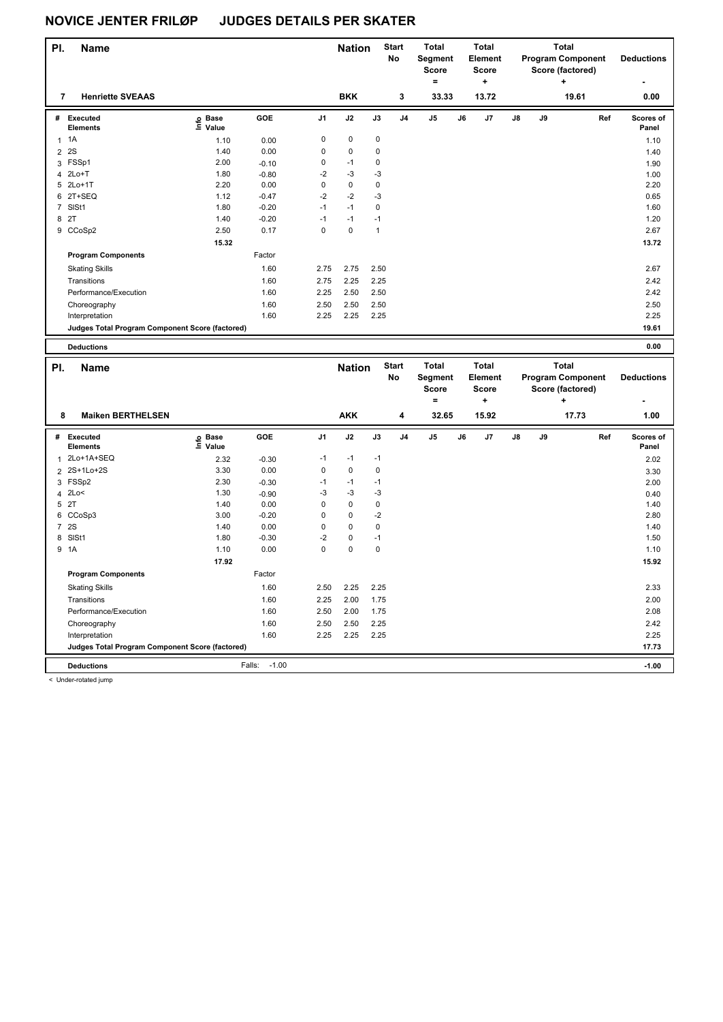| PI.            | Name                                            |                    |                 |                | <b>Nation</b> |                     | <b>Start</b><br>No | <b>Total</b><br>Segment<br><b>Score</b> |    | <b>Total</b><br><b>Element</b><br><b>Score</b> |    |    | <b>Total</b><br><b>Program Component</b><br>Score (factored) |     | <b>Deductions</b> |
|----------------|-------------------------------------------------|--------------------|-----------------|----------------|---------------|---------------------|--------------------|-----------------------------------------|----|------------------------------------------------|----|----|--------------------------------------------------------------|-----|-------------------|
|                |                                                 |                    |                 |                |               |                     |                    | $=$                                     |    | ÷                                              |    |    | $\ddot{}$                                                    |     |                   |
| 7              | <b>Henriette SVEAAS</b>                         |                    |                 |                | <b>BKK</b>    |                     | 3                  | 33.33                                   |    | 13.72                                          |    |    | 19.61                                                        |     | 0.00              |
|                | # Executed                                      | e Base<br>⊑ Value  | GOE             | J <sub>1</sub> | J2            | J3                  | J <sub>4</sub>     | J5                                      | J6 | J7                                             | J8 | J9 |                                                              | Ref | Scores of         |
|                | Elements                                        |                    |                 |                |               |                     |                    |                                         |    |                                                |    |    |                                                              |     | Panel             |
| $\mathbf{1}$   | 1A                                              | 1.10               | 0.00            | 0              | $\pmb{0}$     | $\mathbf 0$         |                    |                                         |    |                                                |    |    |                                                              |     | 1.10              |
| $\overline{2}$ | 2S                                              | 1.40               | 0.00            | 0              | 0             | $\mathbf 0$         |                    |                                         |    |                                                |    |    |                                                              |     | 1.40              |
|                | 3 FSSp1                                         | 2.00               | $-0.10$         | 0<br>$-2$      | $-1$<br>$-3$  | $\mathbf 0$<br>$-3$ |                    |                                         |    |                                                |    |    |                                                              |     | 1.90              |
|                | 4 2Lo+T<br>5 2Lo+1T                             | 1.80<br>2.20       | $-0.80$<br>0.00 | $\mathbf 0$    | 0             | $\mathbf 0$         |                    |                                         |    |                                                |    |    |                                                              |     | 1.00<br>2.20      |
|                | 6 2T+SEQ                                        | 1.12               | $-0.47$         | $-2$           | $-2$          | $-3$                |                    |                                         |    |                                                |    |    |                                                              |     | 0.65              |
|                | 7 SISt1                                         | 1.80               | $-0.20$         | $-1$           | $-1$          | $\mathbf 0$         |                    |                                         |    |                                                |    |    |                                                              |     | 1.60              |
| 8 2T           |                                                 | 1.40               | $-0.20$         | $-1$           | $-1$          | $-1$                |                    |                                         |    |                                                |    |    |                                                              |     | 1.20              |
|                | 9 CCoSp2                                        | 2.50               | 0.17            | $\mathbf 0$    | $\mathbf 0$   | $\mathbf{1}$        |                    |                                         |    |                                                |    |    |                                                              |     | 2.67              |
|                |                                                 | 15.32              |                 |                |               |                     |                    |                                         |    |                                                |    |    |                                                              |     | 13.72             |
|                |                                                 |                    |                 |                |               |                     |                    |                                         |    |                                                |    |    |                                                              |     |                   |
|                | <b>Program Components</b>                       |                    | Factor          |                |               |                     |                    |                                         |    |                                                |    |    |                                                              |     |                   |
|                | <b>Skating Skills</b>                           |                    | 1.60            | 2.75           | 2.75          | 2.50                |                    |                                         |    |                                                |    |    |                                                              |     | 2.67              |
|                | Transitions                                     |                    | 1.60            | 2.75           | 2.25          | 2.25                |                    |                                         |    |                                                |    |    |                                                              |     | 2.42              |
|                | Performance/Execution                           |                    | 1.60            | 2.25           | 2.50          | 2.50                |                    |                                         |    |                                                |    |    |                                                              |     | 2.42              |
|                | Choreography                                    |                    | 1.60            | 2.50           | 2.50          | 2.50                |                    |                                         |    |                                                |    |    |                                                              |     | 2.50              |
|                | Interpretation                                  |                    | 1.60            | 2.25           | 2.25          | 2.25                |                    |                                         |    |                                                |    |    |                                                              |     | 2.25              |
|                | Judges Total Program Component Score (factored) |                    |                 |                |               |                     |                    |                                         |    |                                                |    |    |                                                              |     | 19.61             |
|                |                                                 |                    |                 |                |               |                     |                    |                                         |    |                                                |    |    |                                                              |     |                   |
|                | <b>Deductions</b>                               |                    |                 |                |               |                     |                    |                                         |    |                                                |    |    |                                                              |     | 0.00              |
|                |                                                 |                    |                 |                |               |                     |                    |                                         |    |                                                |    |    |                                                              |     |                   |
| PI.            | Name                                            |                    |                 |                | <b>Nation</b> |                     | <b>Start</b>       | <b>Total</b>                            |    | <b>Total</b>                                   |    |    | <b>Total</b>                                                 |     |                   |
|                |                                                 |                    |                 |                |               |                     | No                 | Segment                                 |    | Element                                        |    |    | <b>Program Component</b>                                     |     | <b>Deductions</b> |
|                |                                                 |                    |                 |                |               |                     |                    | <b>Score</b><br>$=$                     |    | <b>Score</b>                                   |    |    | Score (factored)<br>÷                                        |     |                   |
|                |                                                 |                    |                 |                |               |                     |                    |                                         |    | +                                              |    |    |                                                              |     |                   |
| 8              | <b>Maiken BERTHELSEN</b>                        |                    |                 |                | <b>AKK</b>    |                     | 4                  | 32.65                                   |    | 15.92                                          |    |    | 17.73                                                        |     | 1.00              |
|                | # Executed                                      | <b>့</b> Base      | <b>GOE</b>      | J <sub>1</sub> | J2            | J3                  | J <sub>4</sub>     | J5                                      | J6 | J7                                             | J8 | J9 |                                                              | Ref | <b>Scores of</b>  |
|                | <b>Elements</b>                                 | <sup>도</sup> Value |                 |                |               |                     |                    |                                         |    |                                                |    |    |                                                              |     | Panel             |
| $\mathbf{1}$   | 2Lo+1A+SEQ                                      | 2.32               | $-0.30$         | $-1$           | $-1$          | $-1$                |                    |                                         |    |                                                |    |    |                                                              |     | 2.02              |
|                | 2 2S+1Lo+2S                                     | 3.30               | 0.00            | 0              | $\mathbf 0$   | $\mathbf 0$         |                    |                                         |    |                                                |    |    |                                                              |     | 3.30              |
|                | 3 FSSp2                                         | 2.30               | $-0.30$         | $-1$           | $-1$          | $-1$                |                    |                                         |    |                                                |    |    |                                                              |     | 2.00              |
| $\overline{4}$ | 2Lo<                                            | 1.30               | $-0.90$         | -3             | $-3$          | $-3$                |                    |                                         |    |                                                |    |    |                                                              |     | 0.40              |
| 5 2T           |                                                 | 1.40               | 0.00            | 0              | $\pmb{0}$     | $\pmb{0}$           |                    |                                         |    |                                                |    |    |                                                              |     | 1.40              |
|                | 6 CCoSp3                                        | 3.00               | $-0.20$         | 0              | 0             | $-2$                |                    |                                         |    |                                                |    |    |                                                              |     | 2.80              |
| $\overline{7}$ | 2S                                              | 1.40               | 0.00            | 0              | 0             | $\mathbf 0$         |                    |                                         |    |                                                |    |    |                                                              |     | 1.40              |
| 8              | SISt1                                           | 1.80               | $-0.30$         | $-2$           | 0             | $-1$                |                    |                                         |    |                                                |    |    |                                                              |     | 1.50              |
| 9              | 1A                                              | 1.10               | 0.00            | 0              | 0             | $\mathbf 0$         |                    |                                         |    |                                                |    |    |                                                              |     | 1.10              |
|                |                                                 | 17.92              |                 |                |               |                     |                    |                                         |    |                                                |    |    |                                                              |     | 15.92             |
|                | <b>Program Components</b>                       |                    | Factor          |                |               |                     |                    |                                         |    |                                                |    |    |                                                              |     |                   |
|                | <b>Skating Skills</b>                           |                    | 1.60            | 2.50           | 2.25          | 2.25                |                    |                                         |    |                                                |    |    |                                                              |     | 2.33              |
|                | Transitions                                     |                    | 1.60            | 2.25           | 2.00          | 1.75                |                    |                                         |    |                                                |    |    |                                                              |     | 2.00              |
|                | Performance/Execution                           |                    | 1.60            | 2.50           | 2.00          | 1.75                |                    |                                         |    |                                                |    |    |                                                              |     | 2.08              |
|                |                                                 |                    | 1.60            | 2.50           | 2.50          | 2.25                |                    |                                         |    |                                                |    |    |                                                              |     | 2.42              |
|                | Choreography<br>Interpretation                  |                    | 1.60            | 2.25           | 2.25          | 2.25                |                    |                                         |    |                                                |    |    |                                                              |     | 2.25              |

**Deductions** Falls: -1.00 **-1.00**

< Under-rotated jump